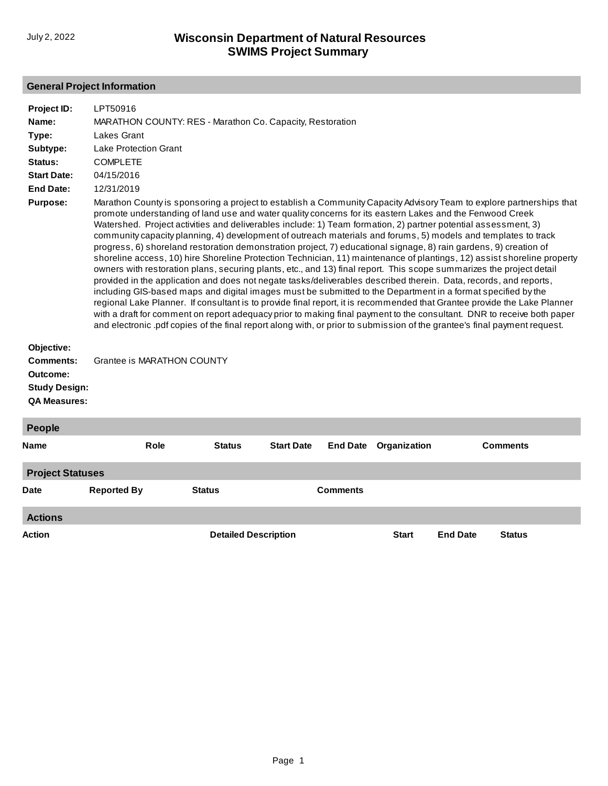## **General Project Information**

| Project ID:<br>Name:<br>Type:<br>Subtype:                                   | LPT50916<br>MARATHON COUNTY: RES - Marathon Co. Capacity, Restoration<br><b>Lakes Grant</b><br><b>Lake Protection Grant</b>                                                                                                                                                                                                                                                                                                                                                                                                                                                                                                                                                                                                                                                                                                                                                                                                                                                                                                                                                                                                                                                                                                                                                                                                                                                                                                                                         |
|-----------------------------------------------------------------------------|---------------------------------------------------------------------------------------------------------------------------------------------------------------------------------------------------------------------------------------------------------------------------------------------------------------------------------------------------------------------------------------------------------------------------------------------------------------------------------------------------------------------------------------------------------------------------------------------------------------------------------------------------------------------------------------------------------------------------------------------------------------------------------------------------------------------------------------------------------------------------------------------------------------------------------------------------------------------------------------------------------------------------------------------------------------------------------------------------------------------------------------------------------------------------------------------------------------------------------------------------------------------------------------------------------------------------------------------------------------------------------------------------------------------------------------------------------------------|
| Status:                                                                     | <b>COMPLETE</b>                                                                                                                                                                                                                                                                                                                                                                                                                                                                                                                                                                                                                                                                                                                                                                                                                                                                                                                                                                                                                                                                                                                                                                                                                                                                                                                                                                                                                                                     |
| <b>Start Date:</b>                                                          | 04/15/2016                                                                                                                                                                                                                                                                                                                                                                                                                                                                                                                                                                                                                                                                                                                                                                                                                                                                                                                                                                                                                                                                                                                                                                                                                                                                                                                                                                                                                                                          |
| <b>End Date:</b>                                                            | 12/31/2019                                                                                                                                                                                                                                                                                                                                                                                                                                                                                                                                                                                                                                                                                                                                                                                                                                                                                                                                                                                                                                                                                                                                                                                                                                                                                                                                                                                                                                                          |
| <b>Purpose:</b>                                                             | Marathon County is sponsoring a project to establish a Community Capacity Advisory Team to explore partnerships that<br>promote understanding of land use and water quality concerns for its eastern Lakes and the Fenwood Creek<br>Watershed. Project activities and deliverables include: 1) Team formation, 2) partner potential assessment, 3)<br>community capacity planning, 4) development of outreach materials and forums, 5) models and templates to track<br>progress, 6) shoreland restoration demonstration project, 7) educational signage, 8) rain gardens, 9) creation of<br>shoreline access, 10) hire Shoreline Protection Technician, 11) maintenance of plantings, 12) assist shoreline property<br>owners with restoration plans, securing plants, etc., and 13) final report. This scope summarizes the project detail<br>provided in the application and does not negate tasks/deliverables described therein. Data, records, and reports,<br>including GIS-based maps and digital images must be submitted to the Department in a format specified by the<br>regional Lake Planner. If consultant is to provide final report, it is recommended that Grantee provide the Lake Planner<br>with a draft for comment on report adequacy prior to making final payment to the consultant. DNR to receive both paper<br>and electronic pdf copies of the final report along with, or prior to submission of the grantee's final payment request. |
| Objective:                                                                  |                                                                                                                                                                                                                                                                                                                                                                                                                                                                                                                                                                                                                                                                                                                                                                                                                                                                                                                                                                                                                                                                                                                                                                                                                                                                                                                                                                                                                                                                     |
| <b>Comments:</b><br>Outcome:<br><b>Study Design:</b><br><b>QA Measures:</b> | Grantee is MARATHON COUNTY                                                                                                                                                                                                                                                                                                                                                                                                                                                                                                                                                                                                                                                                                                                                                                                                                                                                                                                                                                                                                                                                                                                                                                                                                                                                                                                                                                                                                                          |

| People                  |                    |                             |                   |                 |              |                 |                 |  |
|-------------------------|--------------------|-----------------------------|-------------------|-----------------|--------------|-----------------|-----------------|--|
| <b>Name</b>             | <b>Role</b>        | <b>Status</b>               | <b>Start Date</b> | <b>End Date</b> | Organization |                 | <b>Comments</b> |  |
| <b>Project Statuses</b> |                    |                             |                   |                 |              |                 |                 |  |
| <b>Date</b>             | <b>Reported By</b> | <b>Status</b>               |                   | <b>Comments</b> |              |                 |                 |  |
| <b>Actions</b>          |                    |                             |                   |                 |              |                 |                 |  |
| Action                  |                    | <b>Detailed Description</b> |                   |                 | <b>Start</b> | <b>End Date</b> | <b>Status</b>   |  |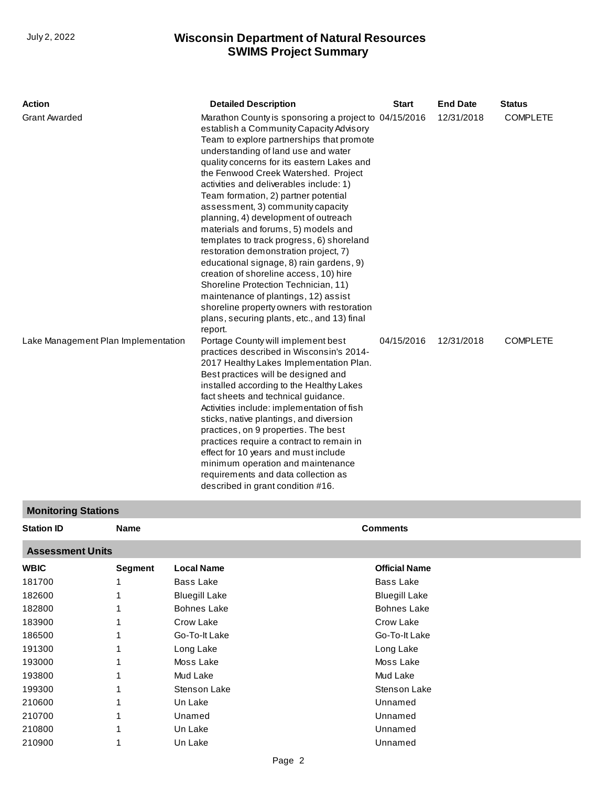| <b>Action</b>                       | <b>Detailed Description</b>                                                                                                                                                                                                                                                                                                                                                                                                                                                                                                                                                                                                                                                                                                                                                                                                                           | <b>Start</b> | <b>End Date</b> | <b>Status</b>   |
|-------------------------------------|-------------------------------------------------------------------------------------------------------------------------------------------------------------------------------------------------------------------------------------------------------------------------------------------------------------------------------------------------------------------------------------------------------------------------------------------------------------------------------------------------------------------------------------------------------------------------------------------------------------------------------------------------------------------------------------------------------------------------------------------------------------------------------------------------------------------------------------------------------|--------------|-----------------|-----------------|
| <b>Grant Awarded</b>                | Marathon County is sponsoring a project to 04/15/2016<br>establish a Community Capacity Advisory<br>Team to explore partnerships that promote<br>understanding of land use and water<br>quality concerns for its eastern Lakes and<br>the Fenwood Creek Watershed. Project<br>activities and deliverables include: 1)<br>Team formation, 2) partner potential<br>assessment, 3) community capacity<br>planning, 4) development of outreach<br>materials and forums, 5) models and<br>templates to track progress, 6) shoreland<br>restoration demonstration project, 7)<br>educational signage, 8) rain gardens, 9)<br>creation of shoreline access, 10) hire<br>Shoreline Protection Technician, 11)<br>maintenance of plantings, 12) assist<br>shoreline property owners with restoration<br>plans, securing plants, etc., and 13) final<br>report. |              | 12/31/2018      | <b>COMPLETE</b> |
| Lake Management Plan Implementation | Portage County will implement best<br>practices described in Wisconsin's 2014-<br>2017 Healthy Lakes Implementation Plan.<br>Best practices will be designed and<br>installed according to the Healthy Lakes<br>fact sheets and technical guidance.<br>Activities include: implementation of fish<br>sticks, native plantings, and diversion<br>practices, on 9 properties. The best<br>practices require a contract to remain in<br>effect for 10 years and must include<br>minimum operation and maintenance<br>requirements and data collection as<br>described in grant condition #16.                                                                                                                                                                                                                                                            | 04/15/2016   | 12/31/2018      | <b>COMPLETE</b> |

# **Monitoring Stations**

| <b>Station ID</b>       | <b>Name</b>    |                      | <b>Comments</b>      |
|-------------------------|----------------|----------------------|----------------------|
| <b>Assessment Units</b> |                |                      |                      |
| <b>WBIC</b>             | <b>Segment</b> | <b>Local Name</b>    | <b>Official Name</b> |
| 181700                  |                | Bass Lake            | Bass Lake            |
| 182600                  |                | <b>Bluegill Lake</b> | <b>Bluegill Lake</b> |
| 182800                  |                | <b>Bohnes Lake</b>   | <b>Bohnes Lake</b>   |
| 183900                  |                | Crow Lake            | Crow Lake            |
| 186500                  |                | Go-To-It Lake        | Go-To-It Lake        |
| 191300                  |                | Long Lake            | Long Lake            |
| 193000                  |                | Moss Lake            | Moss Lake            |
| 193800                  |                | Mud Lake             | Mud Lake             |
| 199300                  |                | Stenson Lake         | Stenson Lake         |
| 210600                  |                | Un Lake              | Unnamed              |
| 210700                  |                | Unamed               | Unnamed              |
| 210800                  |                | Un Lake              | Unnamed              |
| 210900                  |                | Un Lake              | Unnamed              |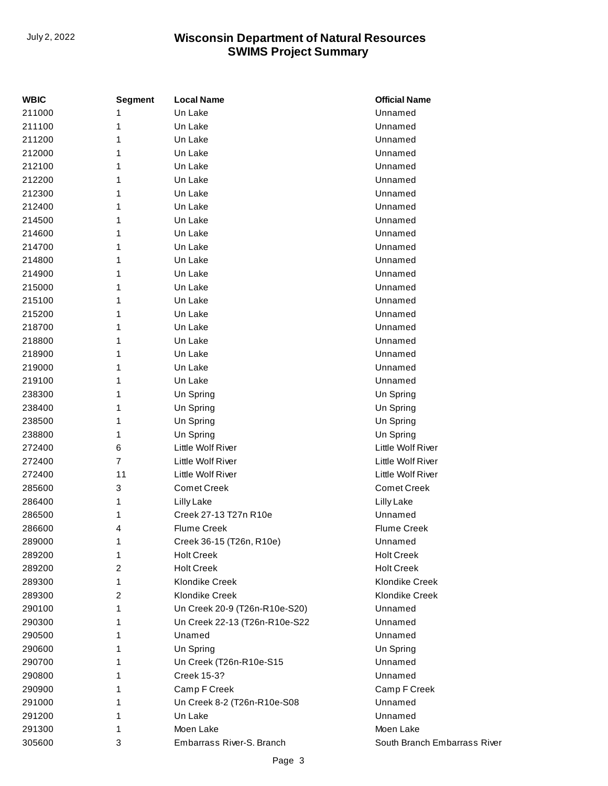| <b>WBIC</b> | <b>Segment</b> | <b>Local Name</b>             | <b>Official Name</b>         |
|-------------|----------------|-------------------------------|------------------------------|
| 211000      |                | Un Lake                       | Unnamed                      |
| 211100      | 1              | Un Lake                       | Unnamed                      |
| 211200      | 1              | Un Lake                       | Unnamed                      |
| 212000      | 1              | Un Lake                       | Unnamed                      |
| 212100      | 1              | Un Lake                       | Unnamed                      |
| 212200      | 1              | Un Lake                       | Unnamed                      |
| 212300      | 1              | Un Lake                       | Unnamed                      |
| 212400      | 1              | Un Lake                       | Unnamed                      |
| 214500      | 1              | Un Lake                       | Unnamed                      |
| 214600      | 1              | Un Lake                       | Unnamed                      |
| 214700      | 1              | Un Lake                       | Unnamed                      |
| 214800      | 1              | Un Lake                       | Unnamed                      |
| 214900      | 1              | Un Lake                       | Unnamed                      |
| 215000      | 1              | Un Lake                       | Unnamed                      |
| 215100      | 1              | Un Lake                       | Unnamed                      |
| 215200      | 1              | Un Lake                       | Unnamed                      |
| 218700      | 1              | Un Lake                       | Unnamed                      |
| 218800      | 1              | Un Lake                       | Unnamed                      |
| 218900      | 1              | Un Lake                       | Unnamed                      |
| 219000      | 1              | Un Lake                       | Unnamed                      |
| 219100      | 1              | Un Lake                       | Unnamed                      |
| 238300      | 1              | Un Spring                     | Un Spring                    |
| 238400      | 1              | Un Spring                     | Un Spring                    |
| 238500      | 1              | Un Spring                     | Un Spring                    |
| 238800      | 1              | Un Spring                     | Un Spring                    |
| 272400      | 6              | Little Wolf River             | Little Wolf River            |
| 272400      | 7              | Little Wolf River             | Little Wolf River            |
| 272400      | 11             | Little Wolf River             | Little Wolf River            |
| 285600      | 3              | <b>Comet Creek</b>            | <b>Comet Creek</b>           |
| 286400      | 1              | Lilly Lake                    | Lilly Lake                   |
| 286500      | 1              | Creek 27-13 T27n R10e         | Unnamed                      |
| 286600      | 4              | <b>Flume Creek</b>            | <b>Flume Creek</b>           |
| 289000      | 1              | Creek 36-15 (T26n, R10e)      | Unnamed                      |
| 289200      | 1              | <b>Holt Creek</b>             | <b>Holt Creek</b>            |
| 289200      | 2              | <b>Holt Creek</b>             | <b>Holt Creek</b>            |
| 289300      | 1              | <b>Klondike Creek</b>         | <b>Klondike Creek</b>        |
| 289300      | 2              | <b>Klondike Creek</b>         | <b>Klondike Creek</b>        |
| 290100      | 1              | Un Creek 20-9 (T26n-R10e-S20) | Unnamed                      |
| 290300      | 1              | Un Creek 22-13 (T26n-R10e-S22 | Unnamed                      |
| 290500      | 1              | Unamed                        | Unnamed                      |
| 290600      | 1              | Un Spring                     | Un Spring                    |
| 290700      | 1              | Un Creek (T26n-R10e-S15       | Unnamed                      |
| 290800      | 1              | <b>Creek 15-3?</b>            | Unnamed                      |
| 290900      | 1              | Camp F Creek                  | Camp F Creek                 |
| 291000      | 1              | Un Creek 8-2 (T26n-R10e-S08   | Unnamed                      |
| 291200      | 1              | Un Lake                       | Unnamed                      |
| 291300      | 1              | Moen Lake                     | Moen Lake                    |
| 305600      | 3              | Embarrass River-S. Branch     | South Branch Embarrass River |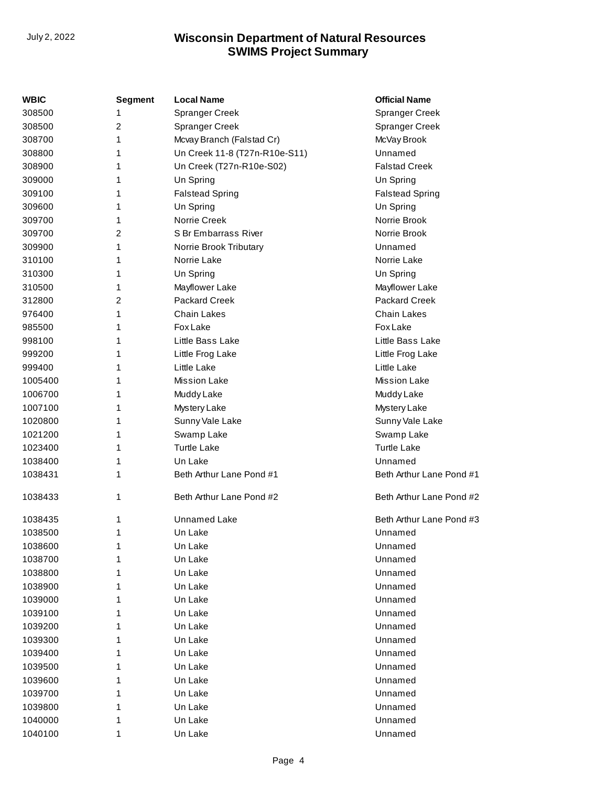| WBIC    | Segment | <b>Local Name</b>             | <b>Official Name</b>     |
|---------|---------|-------------------------------|--------------------------|
| 308500  | 1       | <b>Spranger Creek</b>         | <b>Spranger Creek</b>    |
| 308500  | 2       | <b>Spranger Creek</b>         | Spranger Creek           |
| 308700  | 1       | Mcvay Branch (Falstad Cr)     | McVay Brook              |
| 308800  | 1       | Un Creek 11-8 (T27n-R10e-S11) | Unnamed                  |
| 308900  | 1       | Un Creek (T27n-R10e-S02)      | <b>Falstad Creek</b>     |
| 309000  | 1       | Un Spring                     | Un Spring                |
| 309100  | 1       | <b>Falstead Spring</b>        | <b>Falstead Spring</b>   |
| 309600  | 1       | Un Spring                     | Un Spring                |
| 309700  | 1       | Norrie Creek                  | Norrie Brook             |
| 309700  | 2       | S Br Embarrass River          | Norrie Brook             |
| 309900  | 1       | Norrie Brook Tributary        | Unnamed                  |
| 310100  | 1       | Norrie Lake                   | Norrie Lake              |
| 310300  | 1       | Un Spring                     | Un Spring                |
| 310500  | 1       | Mayflower Lake                | Mayflower Lake           |
| 312800  | 2       | <b>Packard Creek</b>          | Packard Creek            |
| 976400  | 1       | <b>Chain Lakes</b>            | <b>Chain Lakes</b>       |
| 985500  | 1       | <b>Fox Lake</b>               | <b>Fox Lake</b>          |
| 998100  | 1       | Little Bass Lake              | Little Bass Lake         |
| 999200  | 1       | Little Frog Lake              | Little Frog Lake         |
| 999400  | 1       | Little Lake                   | Little Lake              |
| 1005400 | 1       | <b>Mission Lake</b>           | <b>Mission Lake</b>      |
| 1006700 | 1       | Muddy Lake                    | Muddy Lake               |
| 1007100 | 1       | Mystery Lake                  | Mystery Lake             |
| 1020800 | 1       | Sunny Vale Lake               | Sunny Vale Lake          |
| 1021200 | 1       | Swamp Lake                    | Swamp Lake               |
| 1023400 | 1       | <b>Turtle Lake</b>            | <b>Turtle Lake</b>       |
| 1038400 | 1       | Un Lake                       | Unnamed                  |
| 1038431 | 1       | Beth Arthur Lane Pond #1      | Beth Arthur Lane Pond #1 |
|         |         |                               |                          |
| 1038433 | 1       | Beth Arthur Lane Pond #2      | Beth Arthur Lane Pond #2 |
| 1038435 | 1       | <b>Unnamed Lake</b>           | Beth Arthur Lane Pond #3 |
| 1038500 | 1       | Un Lake                       | Unnamed                  |
| 1038600 | 1       | Un Lake                       | Unnamed                  |
| 1038700 | 1       | Un Lake                       | Unnamed                  |
| 1038800 | 1       | Un Lake                       | Unnamed                  |
| 1038900 | 1       | Un Lake                       | Unnamed                  |
| 1039000 | 1       | Un Lake                       | Unnamed                  |
| 1039100 | 1       | Un Lake                       | Unnamed                  |
| 1039200 | 1       | Un Lake                       | Unnamed                  |
| 1039300 | 1       | Un Lake                       | Unnamed                  |
| 1039400 | 1       | Un Lake                       | Unnamed                  |
| 1039500 | 1       | Un Lake                       | Unnamed                  |
| 1039600 | 1       | Un Lake                       | Unnamed                  |
| 1039700 | 1       | Un Lake                       | Unnamed                  |
| 1039800 | 1       | Un Lake                       | Unnamed                  |
| 1040000 | 1       | Un Lake                       | Unnamed                  |
| 1040100 | 1       | Un Lake                       | Unnamed                  |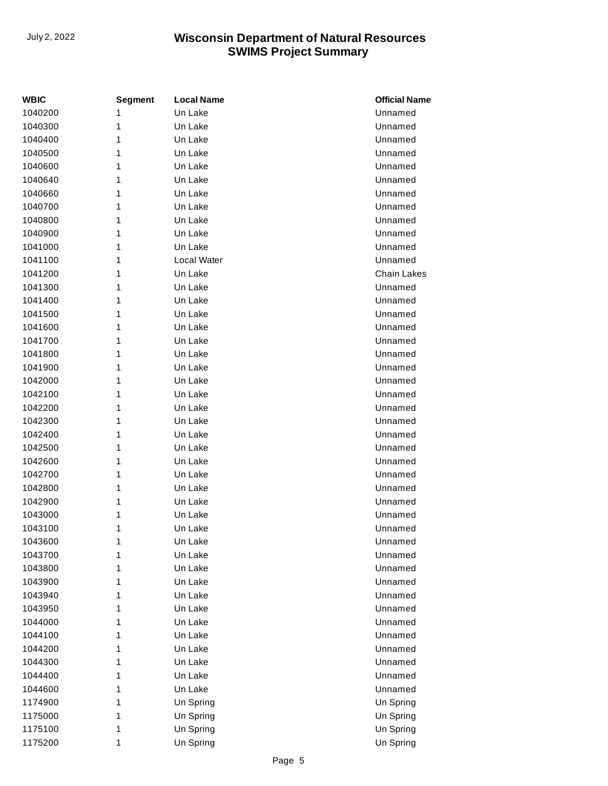| WBIC    | Segment | <b>Local Name</b> | <b>Official Name</b> |
|---------|---------|-------------------|----------------------|
| 1040200 | 1       | Un Lake           | Unnamed              |
| 1040300 | 1       | Un Lake           | Unnamed              |
| 1040400 | 1       | Un Lake           | Unnamed              |
| 1040500 | 1       | Un Lake           | Unnamed              |
| 1040600 | 1       | Un Lake           | Unnamed              |
| 1040640 | 1       | Un Lake           | Unnamed              |
| 1040660 | 1       | Un Lake           | Unnamed              |
| 1040700 | 1       | Un Lake           | Unnamed              |
| 1040800 | 1       | Un Lake           | Unnamed              |
| 1040900 | 1       | Un Lake           | Unnamed              |
| 1041000 | 1       | Un Lake           | Unnamed              |
| 1041100 | 1       | Local Water       | Unnamed              |
| 1041200 | 1       | Un Lake           | <b>Chain Lakes</b>   |
| 1041300 | 1       | Un Lake           | Unnamed              |
| 1041400 | 1       | Un Lake           | Unnamed              |
| 1041500 | 1       | Un Lake           | Unnamed              |
| 1041600 | 1       | Un Lake           | Unnamed              |
| 1041700 | 1       | Un Lake           | Unnamed              |
| 1041800 | 1       | Un Lake           | Unnamed              |
| 1041900 | 1       | Un Lake           | Unnamed              |
| 1042000 | 1       | Un Lake           | Unnamed              |
| 1042100 | 1       | Un Lake           | Unnamed              |
| 1042200 | 1       | Un Lake           | Unnamed              |
| 1042300 | 1       | Un Lake           | Unnamed              |
| 1042400 | 1       | Un Lake           | Unnamed              |
| 1042500 | 1       | Un Lake           | Unnamed              |
| 1042600 | 1       | Un Lake           | Unnamed              |
| 1042700 | 1       | Un Lake           | Unnamed              |
| 1042800 | 1       | Un Lake           | Unnamed              |
| 1042900 | 1       | Un Lake           | Unnamed              |
| 1043000 | 1       | Un Lake           | Unnamed              |
| 1043100 | 1       | Un Lake           | Unnamed              |
| 1043600 | 1       | Un Lake           | Unnamed              |
| 1043700 | 1       | Un Lake           | Unnamed              |
| 1043800 | 1       | Un Lake           | Unnamed              |
| 1043900 | 1       | Un Lake           | Unnamed              |
| 1043940 | 1       | Un Lake           | Unnamed              |
| 1043950 | 1       | Un Lake           | Unnamed              |
| 1044000 | 1       | Un Lake           | Unnamed              |
| 1044100 | 1       | Un Lake           | Unnamed              |
| 1044200 | 1       | Un Lake           | Unnamed              |
| 1044300 | 1       | Un Lake           | Unnamed              |
| 1044400 | 1       | Un Lake           | Unnamed              |
| 1044600 | 1       | Un Lake           | Unnamed              |
| 1174900 | 1       | Un Spring         | Un Spring            |
| 1175000 | 1       | Un Spring         | Un Spring            |
| 1175100 | 1       | Un Spring         | Un Spring            |
| 1175200 | 1       | Un Spring         | Un Spring            |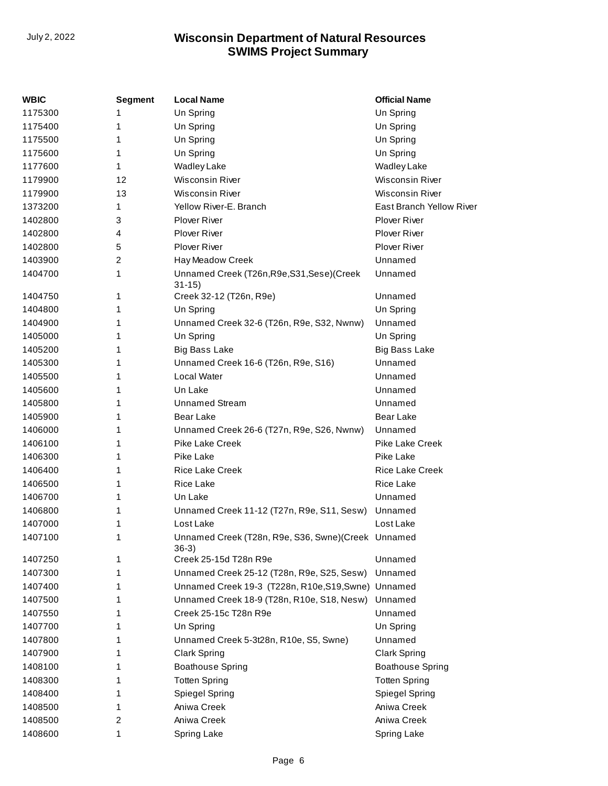| <b>WBIC</b> | <b>Segment</b> | <b>Local Name</b>                                             | <b>Official Name</b>     |
|-------------|----------------|---------------------------------------------------------------|--------------------------|
| 1175300     | 1              | Un Spring                                                     | Un Spring                |
| 1175400     | 1              | Un Spring                                                     | Un Spring                |
| 1175500     | 1              | Un Spring                                                     | Un Spring                |
| 1175600     | 1              | Un Spring                                                     | Un Spring                |
| 1177600     | 1              | <b>Wadley Lake</b>                                            | <b>Wadley Lake</b>       |
| 1179900     | 12             | <b>Wisconsin River</b>                                        | <b>Wisconsin River</b>   |
| 1179900     | 13             | Wisconsin River                                               | <b>Wisconsin River</b>   |
| 1373200     | 1              | Yellow River-E, Branch                                        | East Branch Yellow River |
| 1402800     | 3              | <b>Plover River</b>                                           | <b>Plover River</b>      |
| 1402800     | 4              | <b>Plover River</b>                                           | <b>Plover River</b>      |
| 1402800     | 5              | <b>Plover River</b>                                           | <b>Plover River</b>      |
| 1403900     | $\overline{2}$ | Hay Meadow Creek                                              | Unnamed                  |
| 1404700     | 1              | Unnamed Creek (T26n, R9e, S31, Sese) (Creek<br>$31 - 15$      | Unnamed                  |
| 1404750     | 1              | Creek 32-12 (T26n, R9e)                                       | Unnamed                  |
| 1404800     | 1              | Un Spring                                                     | Un Spring                |
| 1404900     | 1              | Unnamed Creek 32-6 (T26n, R9e, S32, Nwnw)                     | Unnamed                  |
| 1405000     | 1              | Un Spring                                                     | Un Spring                |
| 1405200     | 1              | <b>Big Bass Lake</b>                                          | <b>Big Bass Lake</b>     |
| 1405300     | 1              | Unnamed Creek 16-6 (T26n, R9e, S16)                           | Unnamed                  |
| 1405500     | 1              | Local Water                                                   | Unnamed                  |
| 1405600     | 1              | Un Lake                                                       | Unnamed                  |
| 1405800     | 1              | <b>Unnamed Stream</b>                                         | Unnamed                  |
| 1405900     | 1              | <b>Bear Lake</b>                                              | <b>Bear Lake</b>         |
| 1406000     | 1              | Unnamed Creek 26-6 (T27n, R9e, S26, Nwnw)                     | Unnamed                  |
| 1406100     | 1              | <b>Pike Lake Creek</b>                                        | <b>Pike Lake Creek</b>   |
| 1406300     | 1              | Pike Lake                                                     | Pike Lake                |
| 1406400     | 1              | <b>Rice Lake Creek</b>                                        | <b>Rice Lake Creek</b>   |
| 1406500     | 1              | <b>Rice Lake</b>                                              | <b>Rice Lake</b>         |
| 1406700     | 1              | Un Lake                                                       | Unnamed                  |
| 1406800     | 1              | Unnamed Creek 11-12 (T27n, R9e, S11, Sesw)                    | Unnamed                  |
| 1407000     | 1              | Lost Lake                                                     | Lost Lake                |
| 1407100     | 1              | Unnamed Creek (T28n, R9e, S36, Swne)(Creek Unnamed<br>$36-3)$ |                          |
| 1407250     | 1              | Creek 25-15d T28n R9e                                         | Unnamed                  |
| 1407300     | 1              | Unnamed Creek 25-12 (T28n, R9e, S25, Sesw)                    | Unnamed                  |
| 1407400     | 1              | Unnamed Creek 19-3 (T228n, R10e, S19, Swne) Unnamed           |                          |
| 1407500     | 1              | Unnamed Creek 18-9 (T28n, R10e, S18, Nesw)                    | Unnamed                  |
| 1407550     | 1              | Creek 25-15c T28n R9e                                         | Unnamed                  |
| 1407700     | 1              | Un Spring                                                     | Un Spring                |
| 1407800     | 1              | Unnamed Creek 5-3t28n, R10e, S5, Swne)                        | Unnamed                  |
| 1407900     | 1              | <b>Clark Spring</b>                                           | <b>Clark Spring</b>      |
| 1408100     | 1              | <b>Boathouse Spring</b>                                       | <b>Boathouse Spring</b>  |
| 1408300     | 1              | <b>Totten Spring</b>                                          | <b>Totten Spring</b>     |
| 1408400     | 1              | <b>Spiegel Spring</b>                                         | Spiegel Spring           |
| 1408500     | 1              | Aniwa Creek                                                   | Aniwa Creek              |
| 1408500     | 2              | Aniwa Creek                                                   | Aniwa Creek              |
| 1408600     | 1              | Spring Lake                                                   | Spring Lake              |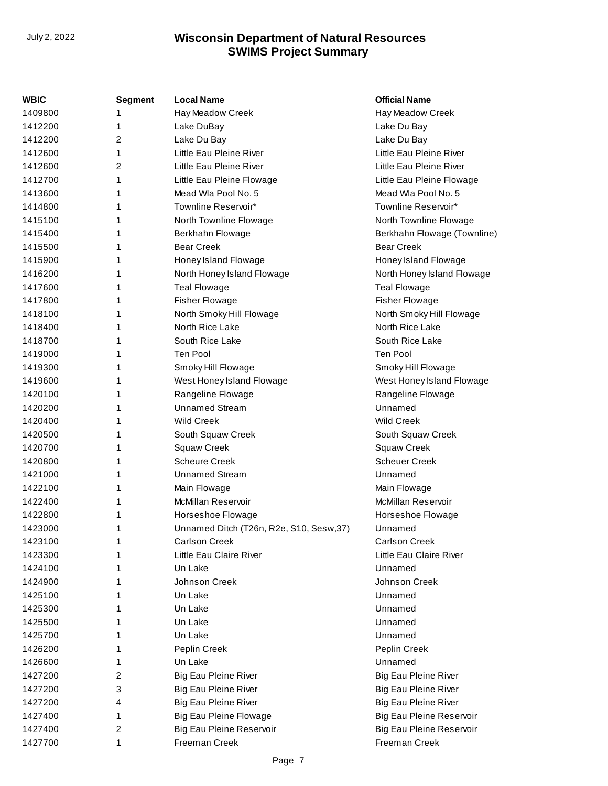| WBIC    | <b>Segment</b> | <b>Local Name</b>                       | <b>Official Name</b>        |
|---------|----------------|-----------------------------------------|-----------------------------|
| 1409800 | 1              | Hay Meadow Creek                        | Hay Meadow Creek            |
| 1412200 | 1              | Lake DuBay                              | Lake Du Bay                 |
| 1412200 | 2              | Lake Du Bay                             | Lake Du Bay                 |
| 1412600 | 1              | Little Eau Pleine River                 | Little Eau Pleine River     |
| 1412600 | 2              | Little Eau Pleine River                 | Little Eau Pleine River     |
| 1412700 | 1              | Little Eau Pleine Flowage               | Little Eau Pleine Flowage   |
| 1413600 | 1              | Mead Wla Pool No. 5                     | Mead Wla Pool No. 5         |
| 1414800 | 1              | Townline Reservoir*                     | Townline Reservoir*         |
| 1415100 | 1              | North Townline Flowage                  | North Townline Flowage      |
| 1415400 | 1              | Berkhahn Flowage                        | Berkhahn Flowage (Townline) |
| 1415500 | 1              | <b>Bear Creek</b>                       | <b>Bear Creek</b>           |
| 1415900 | 1              | Honey Island Flowage                    | Honey Island Flowage        |
| 1416200 | 1              | North Honey Island Flowage              | North Honey Island Flowage  |
| 1417600 | 1              | <b>Teal Flowage</b>                     | <b>Teal Flowage</b>         |
| 1417800 | 1              | <b>Fisher Flowage</b>                   | <b>Fisher Flowage</b>       |
| 1418100 | 1              | North Smoky Hill Flowage                | North Smoky Hill Flowage    |
| 1418400 | 1              | North Rice Lake                         | North Rice Lake             |
| 1418700 | 1              | South Rice Lake                         | South Rice Lake             |
| 1419000 | 1              | <b>Ten Pool</b>                         | Ten Pool                    |
| 1419300 | 1              | Smoky Hill Flowage                      | Smoky Hill Flowage          |
| 1419600 | 1              | West Honey Island Flowage               | West Honey Island Flowage   |
| 1420100 | 1              | Rangeline Flowage                       | Rangeline Flowage           |
| 1420200 | 1              | <b>Unnamed Stream</b>                   | Unnamed                     |
| 1420400 | 1              | <b>Wild Creek</b>                       | <b>Wild Creek</b>           |
| 1420500 | 1              | South Squaw Creek                       | South Squaw Creek           |
| 1420700 | 1              | <b>Squaw Creek</b>                      | Squaw Creek                 |
| 1420800 | 1              | <b>Scheure Creek</b>                    | <b>Scheuer Creek</b>        |
| 1421000 | 1              | <b>Unnamed Stream</b>                   | Unnamed                     |
| 1422100 | 1              | Main Flowage                            | Main Flowage                |
| 1422400 | 1              | McMillan Reservoir                      | McMillan Reservoir          |
| 1422800 | 1              | Horseshoe Flowage                       | Horseshoe Flowage           |
| 1423000 | 1              | Unnamed Ditch (T26n, R2e, S10, Sesw,37) | Unnamed                     |
| 1423100 | 1              | <b>Carlson Creek</b>                    | <b>Carlson Creek</b>        |
| 1423300 |                | Little Eau Claire River                 | Little Eau Claire River     |
| 1424100 |                | Un Lake                                 | Unnamed                     |
| 1424900 |                | Johnson Creek                           | Johnson Creek               |
| 1425100 |                | Un Lake                                 | Unnamed                     |
| 1425300 |                | Un Lake                                 | Unnamed                     |
| 1425500 | 1              | Un Lake                                 | Unnamed                     |
| 1425700 |                | Un Lake                                 | Unnamed                     |
| 1426200 |                | Peplin Creek                            | Peplin Creek                |
| 1426600 |                | Un Lake                                 | Unnamed                     |
| 1427200 | 2              | <b>Big Eau Pleine River</b>             | <b>Big Eau Pleine River</b> |
| 1427200 | 3              | <b>Big Eau Pleine River</b>             | <b>Big Eau Pleine River</b> |
| 1427200 | 4              | <b>Big Eau Pleine River</b>             | <b>Big Eau Pleine River</b> |
| 1427400 | 1              | Big Eau Pleine Flowage                  | Big Eau Pleine Reservoir    |
| 1427400 | 2              | Big Eau Pleine Reservoir                | Big Eau Pleine Reservoir    |
| 1427700 | 1              | Freeman Creek                           | Freeman Creek               |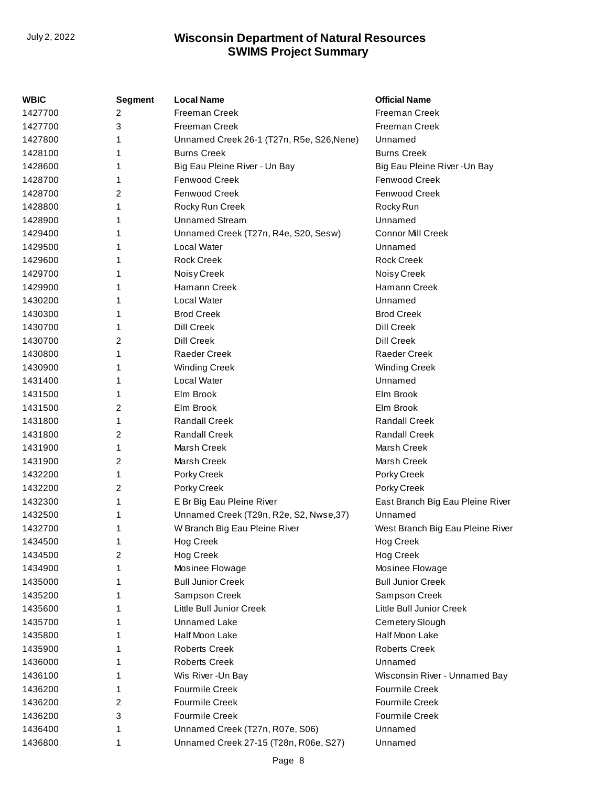| WBIC    | <b>Segment</b> | <b>Local Name</b>                         | <b>Official Name</b>             |
|---------|----------------|-------------------------------------------|----------------------------------|
| 1427700 | 2              | <b>Freeman Creek</b>                      | Freeman Creek                    |
| 1427700 | 3              | <b>Freeman Creek</b>                      | <b>Freeman Creek</b>             |
| 1427800 | 1              | Unnamed Creek 26-1 (T27n, R5e, S26, Nene) | Unnamed                          |
| 1428100 | 1              | <b>Burns Creek</b>                        | <b>Burns Creek</b>               |
| 1428600 | 1              | Big Eau Pleine River - Un Bay             | Big Eau Pleine River - Un Bay    |
| 1428700 | 1              | Fenwood Creek                             | Fenwood Creek                    |
| 1428700 | 2              | <b>Fenwood Creek</b>                      | Fenwood Creek                    |
| 1428800 | 1              | Rocky Run Creek                           | Rocky Run                        |
| 1428900 | 1              | <b>Unnamed Stream</b>                     | Unnamed                          |
| 1429400 | 1              | Unnamed Creek (T27n, R4e, S20, Sesw)      | <b>Connor Mill Creek</b>         |
| 1429500 | 1              | Local Water                               | Unnamed                          |
| 1429600 | 1              | <b>Rock Creek</b>                         | <b>Rock Creek</b>                |
| 1429700 | 1              | Noisy Creek                               | Noisy Creek                      |
| 1429900 | 1              | Hamann Creek                              | Hamann Creek                     |
| 1430200 | 1              | Local Water                               | Unnamed                          |
| 1430300 | 1              | <b>Brod Creek</b>                         | <b>Brod Creek</b>                |
| 1430700 | 1              | <b>Dill Creek</b>                         | <b>Dill Creek</b>                |
| 1430700 | 2              | <b>Dill Creek</b>                         | <b>Dill Creek</b>                |
| 1430800 | 1              | <b>Raeder Creek</b>                       | <b>Raeder Creek</b>              |
| 1430900 | 1              | <b>Winding Creek</b>                      | <b>Winding Creek</b>             |
| 1431400 | 1              | Local Water                               | Unnamed                          |
| 1431500 | 1              | Elm Brook                                 | Elm Brook                        |
| 1431500 | 2              | Elm Brook                                 | Elm Brook                        |
| 1431800 | 1              | <b>Randall Creek</b>                      | <b>Randall Creek</b>             |
| 1431800 | 2              | <b>Randall Creek</b>                      | <b>Randall Creek</b>             |
| 1431900 | 1              | Marsh Creek                               | Marsh Creek                      |
| 1431900 | 2              | Marsh Creek                               | Marsh Creek                      |
| 1432200 | 1              | Porky Creek                               | Porky Creek                      |
| 1432200 | 2              | Porky Creek                               | Porky Creek                      |
| 1432300 | 1              | E Br Big Eau Pleine River                 | East Branch Big Eau Pleine River |
| 1432500 | 1              | Unnamed Creek (T29n, R2e, S2, Nwse, 37)   | Unnamed                          |
| 1432700 | 1              | W Branch Big Eau Pleine River             | West Branch Big Eau Pleine River |
| 1434500 | 1              | Hog Creek                                 | <b>Hog Creek</b>                 |
| 1434500 | 2              | <b>Hog Creek</b>                          | <b>Hog Creek</b>                 |
| 1434900 | 1              | Mosinee Flowage                           | Mosinee Flowage                  |
| 1435000 | 1              | <b>Bull Junior Creek</b>                  | <b>Bull Junior Creek</b>         |
| 1435200 | 1              | Sampson Creek                             | Sampson Creek                    |
| 1435600 | 1              | Little Bull Junior Creek                  | Little Bull Junior Creek         |
| 1435700 | 1              | Unnamed Lake                              | Cemetery Slough                  |
| 1435800 | 1              | Half Moon Lake                            | Half Moon Lake                   |
| 1435900 | 1              | <b>Roberts Creek</b>                      | <b>Roberts Creek</b>             |
| 1436000 | 1              | <b>Roberts Creek</b>                      | Unnamed                          |
| 1436100 | 1              | Wis River-Un Bay                          | Wisconsin River - Unnamed Bay    |
| 1436200 | 1              | <b>Fourmile Creek</b>                     | <b>Fourmile Creek</b>            |
| 1436200 | 2              | <b>Fourmile Creek</b>                     | <b>Fourmile Creek</b>            |
| 1436200 | 3              | <b>Fourmile Creek</b>                     | <b>Fourmile Creek</b>            |
| 1436400 | 1              | Unnamed Creek (T27n, R07e, S06)           | Unnamed                          |
| 1436800 | 1              | Unnamed Creek 27-15 (T28n, R06e, S27)     | Unnamed                          |
|         |                |                                           |                                  |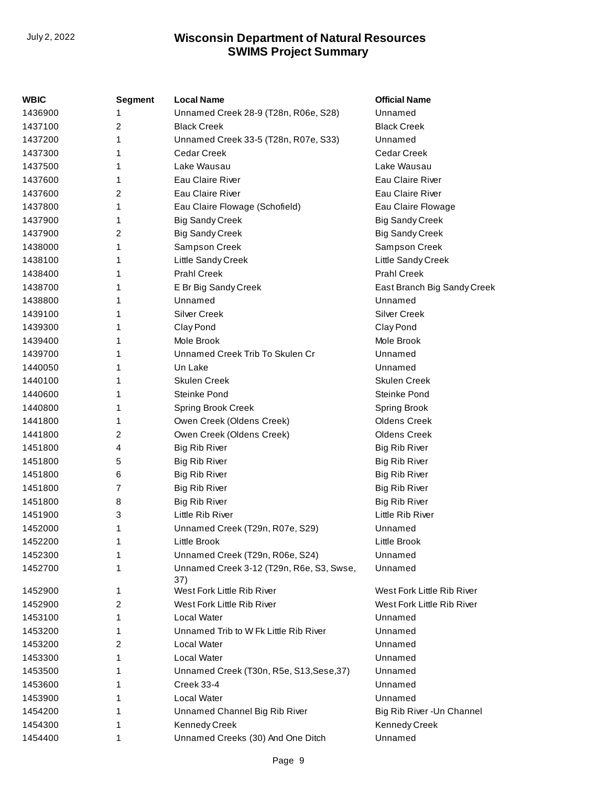| WBIC    | <b>Segment</b> | <b>Local Name</b>                               | <b>Official Name</b>        |
|---------|----------------|-------------------------------------------------|-----------------------------|
| 1436900 | 1              | Unnamed Creek 28-9 (T28n, R06e, S28)            | Unnamed                     |
| 1437100 | 2              | <b>Black Creek</b>                              | <b>Black Creek</b>          |
| 1437200 | 1              | Unnamed Creek 33-5 (T28n, R07e, S33)            | Unnamed                     |
| 1437300 | 1              | <b>Cedar Creek</b>                              | Cedar Creek                 |
| 1437500 | 1              | Lake Wausau                                     | Lake Wausau                 |
| 1437600 | 1              | Eau Claire River                                | Eau Claire River            |
| 1437600 | 2              | Eau Claire River                                | Eau Claire River            |
| 1437800 | 1              | Eau Claire Flowage (Schofield)                  | Eau Claire Flowage          |
| 1437900 | 1              | <b>Big Sandy Creek</b>                          | <b>Big Sandy Creek</b>      |
| 1437900 | 2              | <b>Big Sandy Creek</b>                          | <b>Big Sandy Creek</b>      |
| 1438000 | 1              | Sampson Creek                                   | Sampson Creek               |
| 1438100 | 1              | Little Sandy Creek                              | Little Sandy Creek          |
| 1438400 | 1              | <b>Prahl Creek</b>                              | <b>Prahl Creek</b>          |
| 1438700 | 1              | E Br Big Sandy Creek                            | East Branch Big Sandy Creek |
| 1438800 | 1              | Unnamed                                         | Unnamed                     |
| 1439100 | 1              | <b>Silver Creek</b>                             | <b>Silver Creek</b>         |
| 1439300 | 1              | Clay Pond                                       | Clay Pond                   |
| 1439400 | 1              | Mole Brook                                      | Mole Brook                  |
| 1439700 | 1              | Unnamed Creek Trib To Skulen Cr                 | Unnamed                     |
| 1440050 | 1              | Un Lake                                         | Unnamed                     |
| 1440100 | 1              | <b>Skulen Creek</b>                             | <b>Skulen Creek</b>         |
| 1440600 | 1              | Steinke Pond                                    | Steinke Pond                |
| 1440800 | 1              | <b>Spring Brook Creek</b>                       | Spring Brook                |
| 1441800 | 1              | Owen Creek (Oldens Creek)                       | <b>Oldens Creek</b>         |
| 1441800 | 2              | Owen Creek (Oldens Creek)                       | <b>Oldens Creek</b>         |
| 1451800 | 4              | <b>Big Rib River</b>                            | <b>Big Rib River</b>        |
| 1451800 | 5              | Big Rib River                                   | <b>Big Rib River</b>        |
| 1451800 | 6              | <b>Big Rib River</b>                            | <b>Big Rib River</b>        |
| 1451800 | 7              | <b>Big Rib River</b>                            | <b>Big Rib River</b>        |
| 1451800 | 8              | <b>Big Rib River</b>                            | <b>Big Rib River</b>        |
| 1451900 | 3              | Little Rib River                                | Little Rib River            |
| 1452000 | 1              | Unnamed Creek (T29n, R07e, S29)                 | Unnamed                     |
| 1452200 | 1              | Little Brook                                    | Little Brook                |
| 1452300 |                | Unnamed Creek (T29n, R06e, S24)                 | Unnamed                     |
| 1452700 | 1              | Unnamed Creek 3-12 (T29n, R6e, S3, Swse,<br>37) | Unnamed                     |
| 1452900 | 1              | West Fork Little Rib River                      | West Fork Little Rib River  |
| 1452900 | 2              | West Fork Little Rib River                      | West Fork Little Rib River  |
| 1453100 | 1              | Local Water                                     | Unnamed                     |
| 1453200 | 1              | Unnamed Trib to W Fk Little Rib River           | Unnamed                     |
| 1453200 | 2              | Local Water                                     | Unnamed                     |
| 1453300 | 1              | Local Water                                     | Unnamed                     |
| 1453500 | 1              | Unnamed Creek (T30n, R5e, S13, Sese, 37)        | Unnamed                     |
| 1453600 |                | Creek 33-4                                      | Unnamed                     |
| 1453900 | 1              | Local Water                                     | Unnamed                     |
| 1454200 |                | Unnamed Channel Big Rib River                   | Big Rib River - Un Channel  |
| 1454300 | 1              | Kennedy Creek                                   | Kennedy Creek               |
| 1454400 | 1              | Unnamed Creeks (30) And One Ditch               | Unnamed                     |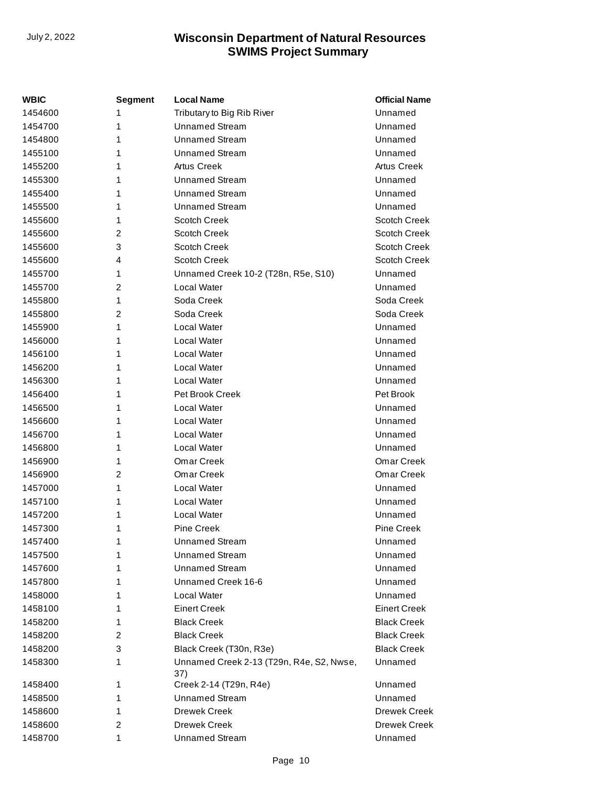| WBIC    | Segment        | <b>Local Name</b>                               | <b>Official Name</b> |
|---------|----------------|-------------------------------------------------|----------------------|
| 1454600 | 1              | Tributary to Big Rib River                      | Unnamed              |
| 1454700 | 1              | <b>Unnamed Stream</b>                           | Unnamed              |
| 1454800 | 1              | <b>Unnamed Stream</b>                           | Unnamed              |
| 1455100 | 1              | <b>Unnamed Stream</b>                           | Unnamed              |
| 1455200 | 1              | <b>Artus Creek</b>                              | <b>Artus Creek</b>   |
| 1455300 | 1              | <b>Unnamed Stream</b>                           | Unnamed              |
| 1455400 | 1              | <b>Unnamed Stream</b>                           | Unnamed              |
| 1455500 | 1              | <b>Unnamed Stream</b>                           | Unnamed              |
| 1455600 | 1              | <b>Scotch Creek</b>                             | <b>Scotch Creek</b>  |
| 1455600 | 2              | <b>Scotch Creek</b>                             | <b>Scotch Creek</b>  |
| 1455600 | 3              | <b>Scotch Creek</b>                             | <b>Scotch Creek</b>  |
| 1455600 | 4              | <b>Scotch Creek</b>                             | <b>Scotch Creek</b>  |
| 1455700 | 1              | Unnamed Creek 10-2 (T28n, R5e, S10)             | Unnamed              |
| 1455700 | $\overline{2}$ | <b>Local Water</b>                              | Unnamed              |
| 1455800 | 1              | Soda Creek                                      | Soda Creek           |
| 1455800 | 2              | Soda Creek                                      | Soda Creek           |
| 1455900 | 1              | Local Water                                     | Unnamed              |
| 1456000 | 1              | Local Water                                     | Unnamed              |
| 1456100 | 1              | Local Water                                     | Unnamed              |
| 1456200 | 1              | <b>Local Water</b>                              | Unnamed              |
| 1456300 | 1              | <b>Local Water</b>                              | Unnamed              |
| 1456400 | 1              | Pet Brook Creek                                 | Pet Brook            |
| 1456500 | 1              | Local Water                                     | Unnamed              |
| 1456600 | 1              | <b>Local Water</b>                              | Unnamed              |
| 1456700 | 1              | Local Water                                     | Unnamed              |
| 1456800 | 1              | Local Water                                     | Unnamed              |
| 1456900 | 1              | Omar Creek                                      | Omar Creek           |
| 1456900 | 2              | Omar Creek                                      | Omar Creek           |
| 1457000 | 1              | Local Water                                     | Unnamed              |
| 1457100 | 1              | Local Water                                     | Unnamed              |
| 1457200 | 1              | <b>Local Water</b>                              | Unnamed              |
| 1457300 | 1              | <b>Pine Creek</b>                               | <b>Pine Creek</b>    |
| 1457400 | 1              | Unnamed Stream                                  | Unnamed              |
| 1457500 | 1              | <b>Unnamed Stream</b>                           | Unnamed              |
| 1457600 | 1              | <b>Unnamed Stream</b>                           | Unnamed              |
| 1457800 | 1              | Unnamed Creek 16-6                              | Unnamed              |
| 1458000 | 1              | Local Water                                     | Unnamed              |
| 1458100 | 1              | <b>Einert Creek</b>                             | <b>Einert Creek</b>  |
| 1458200 | 1              | <b>Black Creek</b>                              | <b>Black Creek</b>   |
| 1458200 | 2              | <b>Black Creek</b>                              | <b>Black Creek</b>   |
| 1458200 | 3              | Black Creek (T30n, R3e)                         | <b>Black Creek</b>   |
| 1458300 | 1              | Unnamed Creek 2-13 (T29n, R4e, S2, Nwse,<br>37) | Unnamed              |
| 1458400 | 1              | Creek 2-14 (T29n, R4e)                          | Unnamed              |
| 1458500 | 1              | <b>Unnamed Stream</b>                           | Unnamed              |
| 1458600 | 1              | <b>Drewek Creek</b>                             | Drewek Creek         |
| 1458600 | 2              | <b>Drewek Creek</b>                             | Drewek Creek         |
| 1458700 | 1              | <b>Unnamed Stream</b>                           | Unnamed              |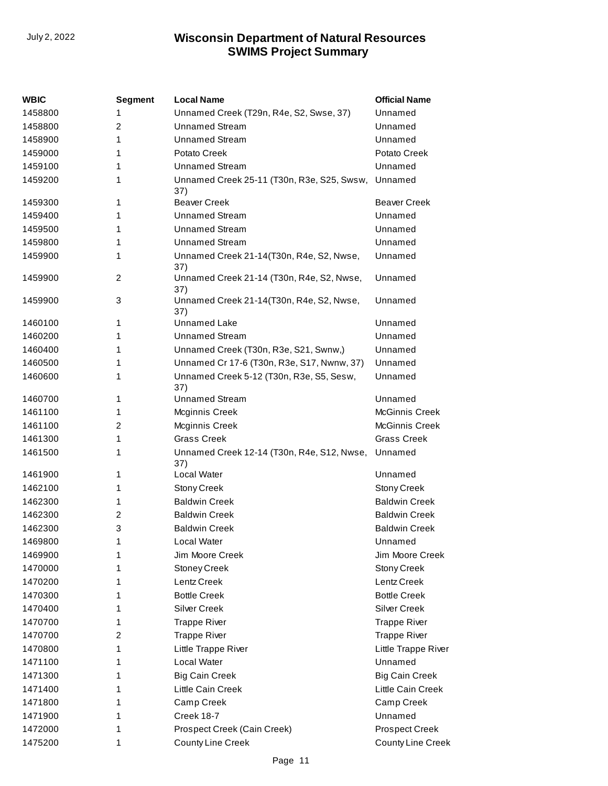| WBIC    | <b>Segment</b> | <b>Local Name</b>                                         | <b>Official Name</b>  |
|---------|----------------|-----------------------------------------------------------|-----------------------|
| 1458800 | 1              | Unnamed Creek (T29n, R4e, S2, Swse, 37)                   | Unnamed               |
| 1458800 | 2              | <b>Unnamed Stream</b>                                     | Unnamed               |
| 1458900 | 1              | <b>Unnamed Stream</b>                                     | Unnamed               |
| 1459000 | 1              | Potato Creek                                              | Potato Creek          |
| 1459100 | 1              | <b>Unnamed Stream</b>                                     | Unnamed               |
| 1459200 | 1              | Unnamed Creek 25-11 (T30n, R3e, S25, Swsw, Unnamed<br>37) |                       |
| 1459300 | 1              | <b>Beaver Creek</b>                                       | <b>Beaver Creek</b>   |
| 1459400 | 1              | <b>Unnamed Stream</b>                                     | Unnamed               |
| 1459500 | 1              | <b>Unnamed Stream</b>                                     | Unnamed               |
| 1459800 | 1              | <b>Unnamed Stream</b>                                     | Unnamed               |
| 1459900 | 1              | Unnamed Creek 21-14(T30n, R4e, S2, Nwse,<br>37)           | Unnamed               |
| 1459900 | 2              | Unnamed Creek 21-14 (T30n, R4e, S2, Nwse,<br>37)          | Unnamed               |
| 1459900 | 3              | Unnamed Creek 21-14(T30n, R4e, S2, Nwse,<br>37)           | Unnamed               |
| 1460100 | 1              | <b>Unnamed Lake</b>                                       | Unnamed               |
| 1460200 | 1              | Unnamed Stream                                            | Unnamed               |
| 1460400 | 1              | Unnamed Creek (T30n, R3e, S21, Swnw,)                     | Unnamed               |
| 1460500 | 1              | Unnamed Cr 17-6 (T30n, R3e, S17, Nwnw, 37)                | Unnamed               |
| 1460600 | 1              | Unnamed Creek 5-12 (T30n, R3e, S5, Sesw,<br>37)           | Unnamed               |
| 1460700 | 1              | <b>Unnamed Stream</b>                                     | Unnamed               |
| 1461100 | 1              | Mcginnis Creek                                            | <b>McGinnis Creek</b> |
| 1461100 | 2              | Mcginnis Creek                                            | <b>McGinnis Creek</b> |
| 1461300 | 1              | <b>Grass Creek</b>                                        | <b>Grass Creek</b>    |
| 1461500 | 1              | Unnamed Creek 12-14 (T30n, R4e, S12, Nwse,<br>37)         | Unnamed               |
| 1461900 | 1              | <b>Local Water</b>                                        | Unnamed               |
| 1462100 | 1              | <b>Stony Creek</b>                                        | <b>Stony Creek</b>    |
| 1462300 | 1              | <b>Baldwin Creek</b>                                      | <b>Baldwin Creek</b>  |
| 1462300 | 2              | <b>Baldwin Creek</b>                                      | <b>Baldwin Creek</b>  |
| 1462300 | 3              | <b>Baldwin Creek</b>                                      | <b>Baldwin Creek</b>  |
| 1469800 | 1              | Local Water                                               | Unnamed               |
| 1469900 | 1              | Jim Moore Creek                                           | Jim Moore Creek       |
| 1470000 | 1              | <b>Stoney Creek</b>                                       | <b>Stony Creek</b>    |
| 1470200 | 1              | Lentz Creek                                               | Lentz Creek           |
| 1470300 | 1              | <b>Bottle Creek</b>                                       | <b>Bottle Creek</b>   |
| 1470400 | 1              | <b>Silver Creek</b>                                       | <b>Silver Creek</b>   |
| 1470700 | 1              | <b>Trappe River</b>                                       | <b>Trappe River</b>   |
| 1470700 | 2              | <b>Trappe River</b>                                       | <b>Trappe River</b>   |
| 1470800 | 1              | Little Trappe River                                       | Little Trappe River   |
| 1471100 | 1              | Local Water                                               | Unnamed               |
| 1471300 | 1              | <b>Big Cain Creek</b>                                     | <b>Big Cain Creek</b> |
| 1471400 | 1              | Little Cain Creek                                         | Little Cain Creek     |
| 1471800 | 1              | Camp Creek                                                | Camp Creek            |
| 1471900 | 1              | Creek 18-7                                                | Unnamed               |
| 1472000 | 1              | Prospect Creek (Cain Creek)                               | <b>Prospect Creek</b> |
| 1475200 | 1              | County Line Creek                                         | County Line Creek     |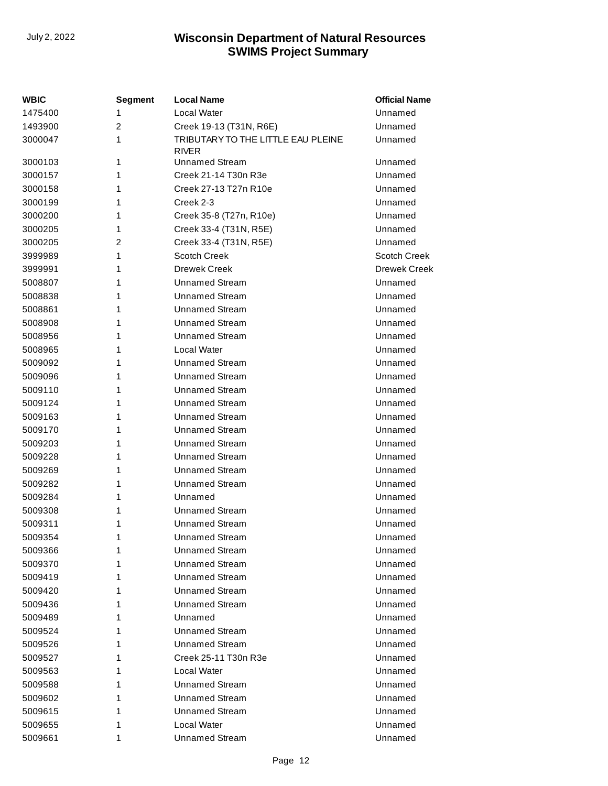| WBIC    | <b>Segment</b> | <b>Local Name</b>                                  | <b>Official Name</b> |
|---------|----------------|----------------------------------------------------|----------------------|
| 1475400 | 1              | Local Water                                        | Unnamed              |
| 1493900 | $\overline{2}$ | Creek 19-13 (T31N, R6E)                            | Unnamed              |
| 3000047 | 1              | TRIBUTARY TO THE LITTLE EAU PLEINE<br><b>RIVER</b> | Unnamed              |
| 3000103 | 1              | <b>Unnamed Stream</b>                              | Unnamed              |
| 3000157 | 1              | Creek 21-14 T30n R3e                               | Unnamed              |
| 3000158 | 1              | Creek 27-13 T27n R10e                              | Unnamed              |
| 3000199 | 1              | Creek 2-3                                          | Unnamed              |
| 3000200 | 1              | Creek 35-8 (T27n, R10e)                            | Unnamed              |
| 3000205 | 1              | Creek 33-4 (T31N, R5E)                             | Unnamed              |
| 3000205 | 2              | Creek 33-4 (T31N, R5E)                             | Unnamed              |
| 3999989 | 1              | Scotch Creek                                       | Scotch Creek         |
| 3999991 | 1              | <b>Drewek Creek</b>                                | <b>Drewek Creek</b>  |
| 5008807 | 1              | <b>Unnamed Stream</b>                              | Unnamed              |
| 5008838 | 1              | <b>Unnamed Stream</b>                              | Unnamed              |
| 5008861 | 1              | <b>Unnamed Stream</b>                              | Unnamed              |
| 5008908 | 1              | <b>Unnamed Stream</b>                              | Unnamed              |
| 5008956 | 1              | <b>Unnamed Stream</b>                              | Unnamed              |
| 5008965 | 1              | Local Water                                        | Unnamed              |
| 5009092 | 1              | <b>Unnamed Stream</b>                              | Unnamed              |
| 5009096 | 1              | <b>Unnamed Stream</b>                              | Unnamed              |
| 5009110 | 1              | <b>Unnamed Stream</b>                              | Unnamed              |
| 5009124 | 1              | <b>Unnamed Stream</b>                              | Unnamed              |
| 5009163 | 1              | <b>Unnamed Stream</b>                              | Unnamed              |
| 5009170 | 1              | <b>Unnamed Stream</b>                              | Unnamed              |
| 5009203 | 1              | <b>Unnamed Stream</b>                              | Unnamed              |
| 5009228 | 1              | <b>Unnamed Stream</b>                              | Unnamed              |
| 5009269 | 1              | <b>Unnamed Stream</b>                              | Unnamed              |
| 5009282 | 1              | <b>Unnamed Stream</b>                              | Unnamed              |
| 5009284 | 1              | Unnamed                                            | Unnamed              |
| 5009308 | 1              | <b>Unnamed Stream</b>                              | Unnamed              |
| 5009311 | 1              | <b>Unnamed Stream</b>                              | Unnamed              |
| 5009354 | 1              | <b>Unnamed Stream</b>                              | Unnamed              |
| 5009366 | 1              | <b>Unnamed Stream</b>                              | Unnamed              |
| 5009370 | 1              | <b>Unnamed Stream</b>                              | Unnamed              |
| 5009419 | 1              | <b>Unnamed Stream</b>                              | Unnamed              |
| 5009420 | 1              | <b>Unnamed Stream</b>                              | Unnamed              |
| 5009436 | 1              | <b>Unnamed Stream</b>                              | Unnamed              |
| 5009489 | 1              | Unnamed                                            | Unnamed              |
| 5009524 | 1              | <b>Unnamed Stream</b>                              | Unnamed              |
| 5009526 | 1              | <b>Unnamed Stream</b>                              | Unnamed              |
| 5009527 | 1              | Creek 25-11 T30n R3e                               | Unnamed              |
| 5009563 | 1              | Local Water                                        | Unnamed              |
| 5009588 | 1              | <b>Unnamed Stream</b>                              | Unnamed              |
| 5009602 | 1              | <b>Unnamed Stream</b>                              | Unnamed              |
| 5009615 | 1              | <b>Unnamed Stream</b>                              | Unnamed              |
| 5009655 | 1              | Local Water                                        | Unnamed              |
| 5009661 | 1              | <b>Unnamed Stream</b>                              | Unnamed              |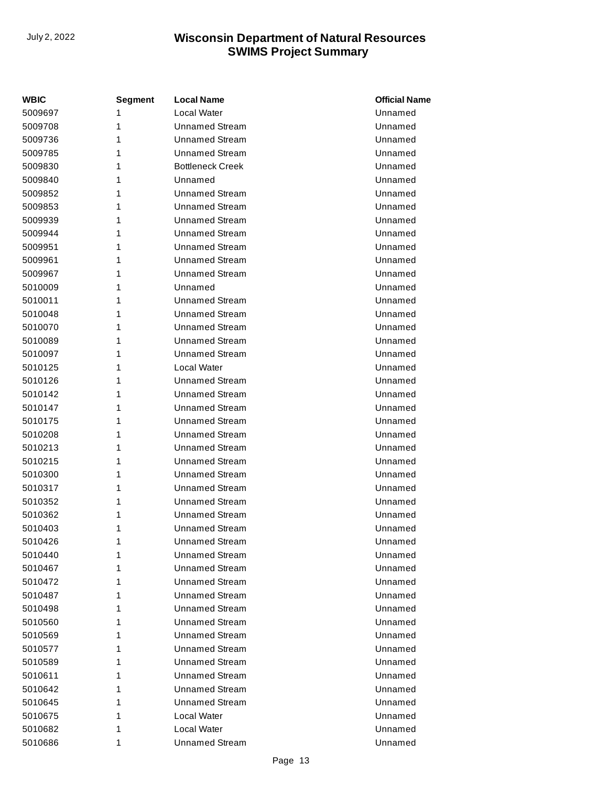| <b>WBIC</b> | Segment | <b>Local Name</b>       | <b>Official Name</b> |
|-------------|---------|-------------------------|----------------------|
| 5009697     | 1       | Local Water             | Unnamed              |
| 5009708     | 1       | <b>Unnamed Stream</b>   | Unnamed              |
| 5009736     | 1       | <b>Unnamed Stream</b>   | Unnamed              |
| 5009785     | 1       | <b>Unnamed Stream</b>   | Unnamed              |
| 5009830     | 1       | <b>Bottleneck Creek</b> | Unnamed              |
| 5009840     | 1       | Unnamed                 | Unnamed              |
| 5009852     | 1       | <b>Unnamed Stream</b>   | Unnamed              |
| 5009853     | 1       | <b>Unnamed Stream</b>   | Unnamed              |
| 5009939     | 1       | <b>Unnamed Stream</b>   | Unnamed              |
| 5009944     | 1       | <b>Unnamed Stream</b>   | Unnamed              |
| 5009951     | 1       | <b>Unnamed Stream</b>   | Unnamed              |
| 5009961     | 1       | <b>Unnamed Stream</b>   | Unnamed              |
| 5009967     | 1       | <b>Unnamed Stream</b>   | Unnamed              |
| 5010009     | 1       | Unnamed                 | Unnamed              |
| 5010011     | 1       | <b>Unnamed Stream</b>   | Unnamed              |
| 5010048     | 1       | <b>Unnamed Stream</b>   | Unnamed              |
| 5010070     | 1       | <b>Unnamed Stream</b>   | Unnamed              |
| 5010089     | 1       | <b>Unnamed Stream</b>   | Unnamed              |
| 5010097     | 1       | <b>Unnamed Stream</b>   | Unnamed              |
| 5010125     | 1       | Local Water             | Unnamed              |
| 5010126     | 1       | <b>Unnamed Stream</b>   | Unnamed              |
| 5010142     | 1       | <b>Unnamed Stream</b>   | Unnamed              |
| 5010147     | 1       | <b>Unnamed Stream</b>   | Unnamed              |
| 5010175     | 1       | <b>Unnamed Stream</b>   | Unnamed              |
| 5010208     | 1       | <b>Unnamed Stream</b>   | Unnamed              |
| 5010213     | 1       | <b>Unnamed Stream</b>   | Unnamed              |
| 5010215     | 1       | <b>Unnamed Stream</b>   | Unnamed              |
| 5010300     | 1       | <b>Unnamed Stream</b>   | Unnamed              |
| 5010317     | 1       | <b>Unnamed Stream</b>   | Unnamed              |
| 5010352     | 1       | <b>Unnamed Stream</b>   | Unnamed              |
| 5010362     | 1       | <b>Unnamed Stream</b>   | Unnamed              |
| 5010403     | 1       | <b>Unnamed Stream</b>   | Unnamed              |
| 5010426     | 1       | <b>Unnamed Stream</b>   | Unnamed              |
| 5010440     | 1       | Unnamed Stream          | Unnamed              |
| 5010467     | 1       | Unnamed Stream          | Unnamed              |
| 5010472     | 1       | <b>Unnamed Stream</b>   | Unnamed              |
| 5010487     | 1       | <b>Unnamed Stream</b>   | Unnamed              |
| 5010498     | 1       | <b>Unnamed Stream</b>   | Unnamed              |
| 5010560     | 1       | <b>Unnamed Stream</b>   | Unnamed              |
| 5010569     | 1       | <b>Unnamed Stream</b>   | Unnamed              |
| 5010577     | 1       | <b>Unnamed Stream</b>   | Unnamed              |
| 5010589     | 1       | <b>Unnamed Stream</b>   | Unnamed              |
| 5010611     | 1       | <b>Unnamed Stream</b>   | Unnamed              |
| 5010642     | 1       | <b>Unnamed Stream</b>   | Unnamed              |
| 5010645     | 1       | <b>Unnamed Stream</b>   | Unnamed              |
| 5010675     | 1       | Local Water             | Unnamed              |
| 5010682     | 1       | Local Water             | Unnamed              |
| 5010686     | 1       | <b>Unnamed Stream</b>   | Unnamed              |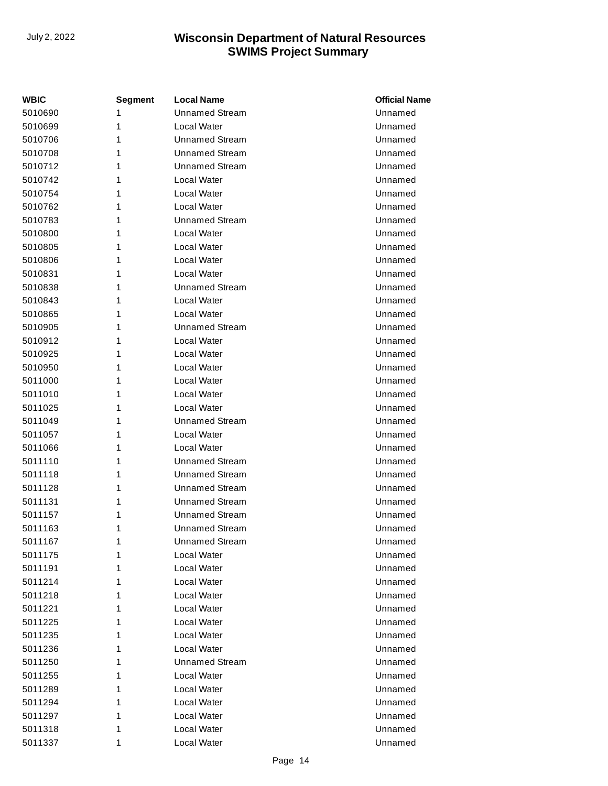| <b>WBIC</b> | Segment | <b>Local Name</b>     | <b>Official Name</b> |
|-------------|---------|-----------------------|----------------------|
| 5010690     | 1       | <b>Unnamed Stream</b> | Unnamed              |
| 5010699     | 1       | Local Water           | Unnamed              |
| 5010706     | 1       | Unnamed Stream        | Unnamed              |
| 5010708     | 1       | <b>Unnamed Stream</b> | Unnamed              |
| 5010712     | 1       | <b>Unnamed Stream</b> | Unnamed              |
| 5010742     | 1       | Local Water           | Unnamed              |
| 5010754     | 1       | Local Water           | Unnamed              |
| 5010762     | 1       | Local Water           | Unnamed              |
| 5010783     | 1       | <b>Unnamed Stream</b> | Unnamed              |
| 5010800     | 1       | Local Water           | Unnamed              |
| 5010805     | 1       | Local Water           | Unnamed              |
| 5010806     | 1       | Local Water           | Unnamed              |
| 5010831     | 1       | Local Water           | Unnamed              |
| 5010838     | 1       | <b>Unnamed Stream</b> | Unnamed              |
| 5010843     | 1       | <b>Local Water</b>    | Unnamed              |
| 5010865     | 1       | Local Water           | Unnamed              |
| 5010905     | 1       | Unnamed Stream        | Unnamed              |
| 5010912     | 1       | Local Water           | Unnamed              |
| 5010925     | 1       | Local Water           | Unnamed              |
| 5010950     | 1       | Local Water           | Unnamed              |
| 5011000     | 1       | Local Water           | Unnamed              |
| 5011010     | 1       | Local Water           | Unnamed              |
| 5011025     | 1       | Local Water           | Unnamed              |
| 5011049     | 1       | <b>Unnamed Stream</b> | Unnamed              |
| 5011057     | 1       | Local Water           | Unnamed              |
| 5011066     | 1       | Local Water           | Unnamed              |
| 5011110     | 1       | Unnamed Stream        | Unnamed              |
| 5011118     | 1       | <b>Unnamed Stream</b> | Unnamed              |
| 5011128     | 1       | <b>Unnamed Stream</b> | Unnamed              |
| 5011131     | 1       | <b>Unnamed Stream</b> | Unnamed              |
| 5011157     | 1       | <b>Unnamed Stream</b> | Unnamed              |
| 5011163     | 1       | <b>Unnamed Stream</b> | Unnamed              |
| 5011167     | 1       | <b>Unnamed Stream</b> | Unnamed              |
| 5011175     | 1       | Local Water           | Unnamed              |
| 5011191     | 1       | Local Water           | Unnamed              |
| 5011214     | 1       | Local Water           | Unnamed              |
| 5011218     | 1       | Local Water           | Unnamed              |
| 5011221     | 1       | Local Water           | Unnamed              |
| 5011225     | 1       | Local Water           | Unnamed              |
| 5011235     | 1       | Local Water           | Unnamed              |
| 5011236     | 1       | Local Water           | Unnamed              |
| 5011250     | 1       | <b>Unnamed Stream</b> | Unnamed              |
| 5011255     | 1       | Local Water           | Unnamed              |
| 5011289     | 1       | Local Water           | Unnamed              |
| 5011294     | 1       | Local Water           | Unnamed              |
| 5011297     | 1       | Local Water           | Unnamed              |
| 5011318     | 1       | Local Water           | Unnamed              |
| 5011337     | 1       | Local Water           | Unnamed              |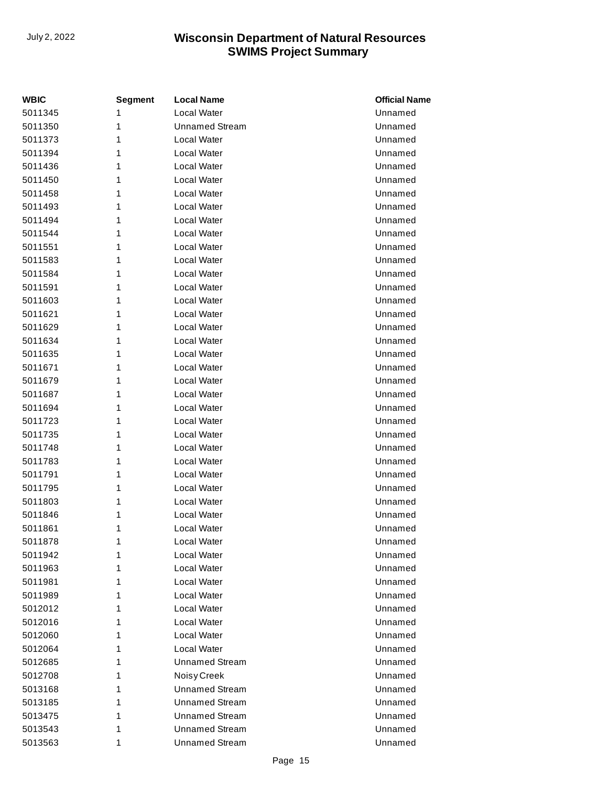| <b>WBIC</b> | <b>Segment</b> | <b>Local Name</b>     | <b>Official Name</b> |
|-------------|----------------|-----------------------|----------------------|
| 5011345     | 1              | Local Water           | Unnamed              |
| 5011350     | 1              | <b>Unnamed Stream</b> | Unnamed              |
| 5011373     | 1              | Local Water           | Unnamed              |
| 5011394     | 1              | Local Water           | Unnamed              |
| 5011436     | 1              | Local Water           | Unnamed              |
| 5011450     | 1              | Local Water           | Unnamed              |
| 5011458     | 1              | Local Water           | Unnamed              |
| 5011493     | 1              | Local Water           | Unnamed              |
| 5011494     | 1              | Local Water           | Unnamed              |
| 5011544     | 1              | Local Water           | Unnamed              |
| 5011551     | 1              | Local Water           | Unnamed              |
| 5011583     | 1              | Local Water           | Unnamed              |
| 5011584     | 1              | Local Water           | Unnamed              |
| 5011591     | 1              | Local Water           | Unnamed              |
| 5011603     | 1              | Local Water           | Unnamed              |
| 5011621     | 1              | Local Water           | Unnamed              |
| 5011629     | 1              | Local Water           | Unnamed              |
| 5011634     | 1              | Local Water           | Unnamed              |
| 5011635     | 1              | Local Water           | Unnamed              |
| 5011671     | 1              | Local Water           | Unnamed              |
| 5011679     | 1              | Local Water           | Unnamed              |
| 5011687     | 1              | Local Water           | Unnamed              |
| 5011694     | 1              | Local Water           | Unnamed              |
| 5011723     | 1              | Local Water           | Unnamed              |
| 5011735     | 1              | Local Water           | Unnamed              |
| 5011748     | 1              | Local Water           | Unnamed              |
| 5011783     | 1              | Local Water           | Unnamed              |
| 5011791     | 1              | Local Water           | Unnamed              |
| 5011795     | 1              | Local Water           | Unnamed              |
| 5011803     | 1              | Local Water           | Unnamed              |
| 5011846     | 1              | Local Water           | Unnamed              |
| 5011861     | 1              | Local Water           | Unnamed              |
| 5011878     | 1              | Local Water           | Unnamed              |
| 5011942     | 1              | Local Water           | Unnamed              |
| 5011963     | 1              | Local Water           | Unnamed              |
| 5011981     | 1              | Local Water           | Unnamed              |
| 5011989     | 1              | Local Water           | Unnamed              |
| 5012012     | 1              | Local Water           | Unnamed              |
| 5012016     | 1              | Local Water           | Unnamed              |
| 5012060     | 1              | Local Water           | Unnamed              |
| 5012064     | 1              | Local Water           | Unnamed              |
| 5012685     | 1              | <b>Unnamed Stream</b> | Unnamed              |
| 5012708     | 1              | Noisy Creek           | Unnamed              |
| 5013168     | 1              | <b>Unnamed Stream</b> | Unnamed              |
| 5013185     | 1              | <b>Unnamed Stream</b> | Unnamed              |
| 5013475     | 1              | <b>Unnamed Stream</b> | Unnamed              |
| 5013543     | 1              | <b>Unnamed Stream</b> | Unnamed              |
| 5013563     | 1              | <b>Unnamed Stream</b> | Unnamed              |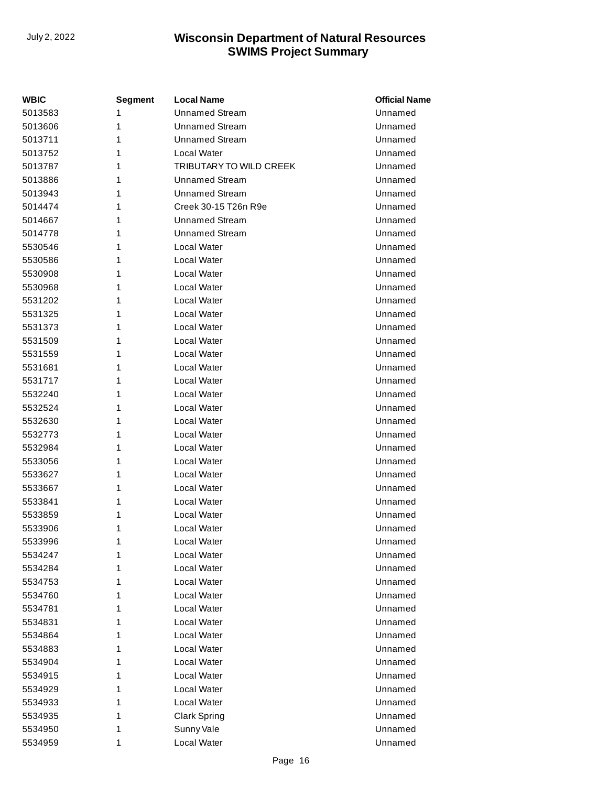| WBIC    | Segment | <b>Local Name</b>       | <b>Official Name</b> |
|---------|---------|-------------------------|----------------------|
| 5013583 | 1       | <b>Unnamed Stream</b>   | Unnamed              |
| 5013606 | 1       | <b>Unnamed Stream</b>   | Unnamed              |
| 5013711 | 1       | <b>Unnamed Stream</b>   | Unnamed              |
| 5013752 | 1       | Local Water             | Unnamed              |
| 5013787 | 1       | TRIBUTARY TO WILD CREEK | Unnamed              |
| 5013886 | 1       | <b>Unnamed Stream</b>   | Unnamed              |
| 5013943 | 1       | <b>Unnamed Stream</b>   | Unnamed              |
| 5014474 | 1       | Creek 30-15 T26n R9e    | Unnamed              |
| 5014667 | 1       | <b>Unnamed Stream</b>   | Unnamed              |
| 5014778 | 1       | <b>Unnamed Stream</b>   | Unnamed              |
| 5530546 | 1       | Local Water             | Unnamed              |
| 5530586 | 1       | Local Water             | Unnamed              |
| 5530908 | 1       | Local Water             | Unnamed              |
| 5530968 | 1       | Local Water             | Unnamed              |
| 5531202 | 1       | Local Water             | Unnamed              |
| 5531325 | 1       | Local Water             | Unnamed              |
| 5531373 | 1       | Local Water             | Unnamed              |
| 5531509 | 1       | Local Water             | Unnamed              |
| 5531559 | 1       | Local Water             | Unnamed              |
| 5531681 | 1       | Local Water             | Unnamed              |
| 5531717 | 1       | Local Water             | Unnamed              |
| 5532240 | 1       | Local Water             | Unnamed              |
| 5532524 | 1       | Local Water             | Unnamed              |
| 5532630 | 1       | Local Water             | Unnamed              |
| 5532773 | 1       | Local Water             | Unnamed              |
| 5532984 | 1       | Local Water             | Unnamed              |
| 5533056 | 1       | Local Water             | Unnamed              |
| 5533627 | 1       | Local Water             | Unnamed              |
| 5533667 | 1       | Local Water             | Unnamed              |
| 5533841 | 1       | Local Water             | Unnamed              |
| 5533859 | 1       | Local Water             | Unnamed              |
| 5533906 | 1       | Local Water             | Unnamed              |
| 5533996 | 1       | Local Water             | Unnamed              |
| 5534247 | 1       | Local Water             | Unnamed              |
| 5534284 | 1       | Local Water             | Unnamed              |
| 5534753 | 1       | Local Water             | Unnamed              |
| 5534760 | 1       | Local Water             | Unnamed              |
| 5534781 | 1       | Local Water             | Unnamed              |
| 5534831 | 1       | Local Water             | Unnamed              |
| 5534864 | 1       | Local Water             | Unnamed              |
| 5534883 | 1       | Local Water             | Unnamed              |
| 5534904 | 1       | Local Water             | Unnamed              |
| 5534915 | 1       | Local Water             | Unnamed              |
| 5534929 | 1       | Local Water             | Unnamed              |
| 5534933 | 1       | Local Water             | Unnamed              |
| 5534935 | 1       | <b>Clark Spring</b>     | Unnamed              |
| 5534950 | 1       | Sunny Vale              | Unnamed              |
| 5534959 | 1       | Local Water             | Unnamed              |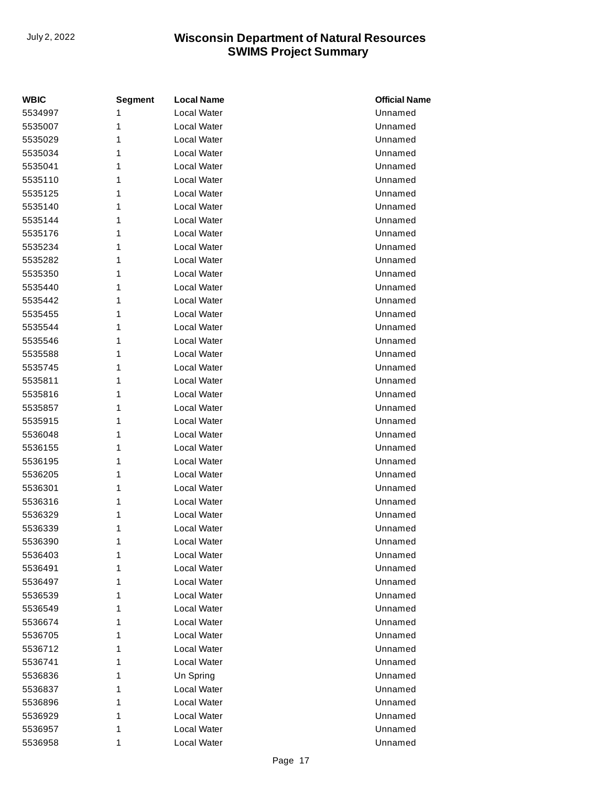| <b>WBIC</b> | <b>Segment</b> | <b>Local Name</b> | <b>Official Name</b> |
|-------------|----------------|-------------------|----------------------|
| 5534997     | 1              | Local Water       | Unnamed              |
| 5535007     | 1              | Local Water       | Unnamed              |
| 5535029     | 1              | Local Water       | Unnamed              |
| 5535034     | 1              | Local Water       | Unnamed              |
| 5535041     | 1              | Local Water       | Unnamed              |
| 5535110     | 1              | Local Water       | Unnamed              |
| 5535125     | 1              | Local Water       | Unnamed              |
| 5535140     | 1              | Local Water       | Unnamed              |
| 5535144     | 1              | Local Water       | Unnamed              |
| 5535176     | 1              | Local Water       | Unnamed              |
| 5535234     | 1              | Local Water       | Unnamed              |
| 5535282     | 1              | Local Water       | Unnamed              |
| 5535350     | 1              | Local Water       | Unnamed              |
| 5535440     | 1              | Local Water       | Unnamed              |
| 5535442     | 1              | Local Water       | Unnamed              |
| 5535455     | 1              | Local Water       | Unnamed              |
| 5535544     | 1              | Local Water       | Unnamed              |
| 5535546     | 1              | Local Water       | Unnamed              |
| 5535588     | 1              | Local Water       | Unnamed              |
| 5535745     | 1              | Local Water       | Unnamed              |
| 5535811     | 1              | Local Water       | Unnamed              |
| 5535816     | 1              | Local Water       | Unnamed              |
| 5535857     | 1              | Local Water       | Unnamed              |
| 5535915     | 1              | Local Water       | Unnamed              |
| 5536048     | 1              | Local Water       | Unnamed              |
| 5536155     | 1              | Local Water       | Unnamed              |
| 5536195     | 1              | Local Water       | Unnamed              |
| 5536205     | 1              | Local Water       | Unnamed              |
| 5536301     | 1              | Local Water       | Unnamed              |
| 5536316     | 1              | Local Water       | Unnamed              |
| 5536329     | 1              | Local Water       | Unnamed              |
| 5536339     | 1              | Local Water       | Unnamed              |
| 5536390     | 1              | Local Water       | Unnamed              |
| 5536403     | 1              | Local Water       | Unnamed              |
| 5536491     | 1              | Local Water       | Unnamed              |
| 5536497     | 1              | Local Water       | Unnamed              |
| 5536539     | 1              | Local Water       | Unnamed              |
| 5536549     | 1              | Local Water       | Unnamed              |
| 5536674     | 1              | Local Water       | Unnamed              |
| 5536705     | 1              | Local Water       | Unnamed              |
| 5536712     | 1              | Local Water       | Unnamed              |
| 5536741     | 1              | Local Water       | Unnamed              |
| 5536836     | 1              | Un Spring         | Unnamed              |
| 5536837     | 1              | Local Water       | Unnamed              |
| 5536896     | 1              | Local Water       | Unnamed              |
| 5536929     | 1              | Local Water       | Unnamed              |
| 5536957     | 1              | Local Water       | Unnamed              |
| 5536958     | 1              | Local Water       | Unnamed              |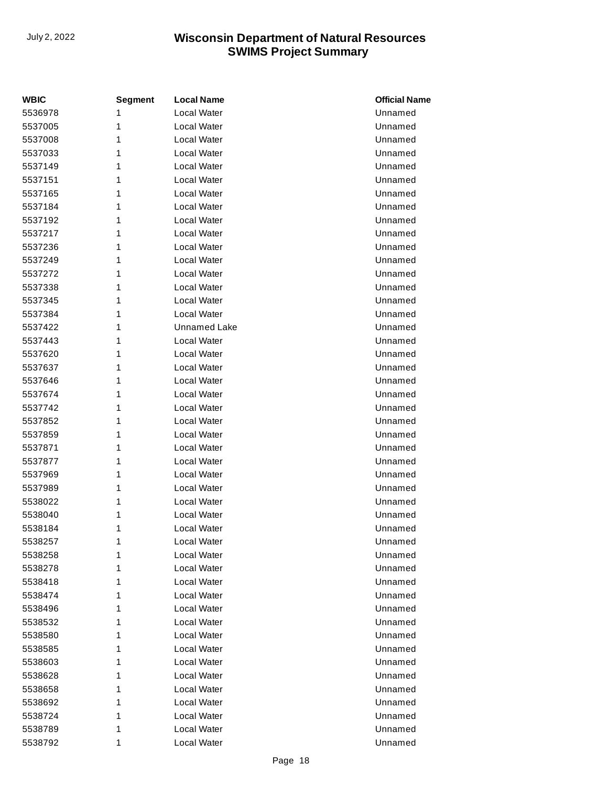| <b>WBIC</b> | <b>Segment</b> | <b>Local Name</b>  | <b>Official Name</b> |
|-------------|----------------|--------------------|----------------------|
| 5536978     | 1              | <b>Local Water</b> | Unnamed              |
| 5537005     | 1              | Local Water        | Unnamed              |
| 5537008     | 1              | Local Water        | Unnamed              |
| 5537033     | 1              | Local Water        | Unnamed              |
| 5537149     | 1              | Local Water        | Unnamed              |
| 5537151     | 1              | <b>Local Water</b> | Unnamed              |
| 5537165     | 1              | Local Water        | Unnamed              |
| 5537184     | 1              | Local Water        | Unnamed              |
| 5537192     | 1              | Local Water        | Unnamed              |
| 5537217     | 1              | Local Water        | Unnamed              |
| 5537236     | 1              | Local Water        | Unnamed              |
| 5537249     | 1              | Local Water        | Unnamed              |
| 5537272     | 1              | Local Water        | Unnamed              |
| 5537338     | 1              | <b>Local Water</b> | Unnamed              |
| 5537345     | 1              | Local Water        | Unnamed              |
| 5537384     | 1              | Local Water        | Unnamed              |
| 5537422     | 1              | Unnamed Lake       | Unnamed              |
| 5537443     | 1              | Local Water        | Unnamed              |
| 5537620     | 1              | Local Water        | Unnamed              |
| 5537637     | 1              | Local Water        | Unnamed              |
| 5537646     | 1              | Local Water        | Unnamed              |
| 5537674     | 1              | <b>Local Water</b> | Unnamed              |
| 5537742     | 1              | Local Water        | Unnamed              |
| 5537852     | 1              | Local Water        | Unnamed              |
| 5537859     | 1              | Local Water        | Unnamed              |
| 5537871     | 1              | Local Water        | Unnamed              |
| 5537877     | 1              | Local Water        | Unnamed              |
| 5537969     | 1              | Local Water        | Unnamed              |
| 5537989     | 1              | Local Water        | Unnamed              |
| 5538022     | 1              | <b>Local Water</b> | Unnamed              |
| 5538040     | 1              | Local Water        | Unnamed              |
| 5538184     | 1              | Local Water        | Unnamed              |
| 5538257     | 1              | Local Water        | Unnamed              |
| 5538258     | 1              | Local Water        | Unnamed              |
| 5538278     | 1              | Local Water        | Unnamed              |
| 5538418     | 1              | Local Water        | Unnamed              |
| 5538474     | 1              | Local Water        | Unnamed              |
| 5538496     | 1              | Local Water        | Unnamed              |
| 5538532     | 1              | Local Water        | Unnamed              |
| 5538580     | 1              | Local Water        | Unnamed              |
| 5538585     | 1              | Local Water        | Unnamed              |
| 5538603     | 1              | Local Water        | Unnamed              |
| 5538628     | 1              | Local Water        | Unnamed              |
| 5538658     | 1              | Local Water        | Unnamed              |
| 5538692     | 1              | Local Water        | Unnamed              |
| 5538724     | 1              | Local Water        | Unnamed              |
| 5538789     | 1              | Local Water        | Unnamed              |
| 5538792     | 1              | Local Water        | Unnamed              |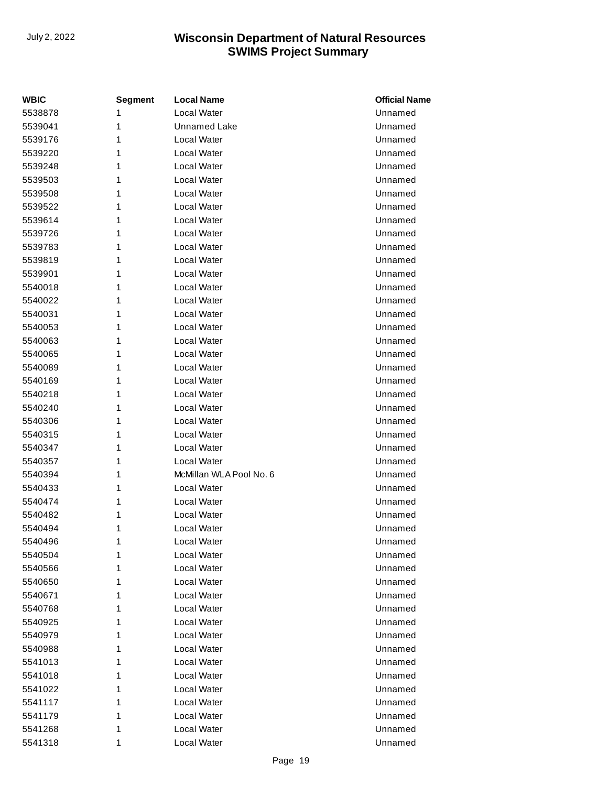| <b>WBIC</b> | <b>Segment</b> | <b>Local Name</b>       | <b>Official Name</b> |
|-------------|----------------|-------------------------|----------------------|
| 5538878     | 1              | Local Water             | Unnamed              |
| 5539041     | 1              | <b>Unnamed Lake</b>     | Unnamed              |
| 5539176     | 1              | Local Water             | Unnamed              |
| 5539220     | 1              | Local Water             | Unnamed              |
| 5539248     | 1              | Local Water             | Unnamed              |
| 5539503     | 1              | Local Water             | Unnamed              |
| 5539508     | 1              | Local Water             | Unnamed              |
| 5539522     | 1              | Local Water             | Unnamed              |
| 5539614     | 1              | Local Water             | Unnamed              |
| 5539726     | 1              | Local Water             | Unnamed              |
| 5539783     | 1              | Local Water             | Unnamed              |
| 5539819     | 1              | Local Water             | Unnamed              |
| 5539901     | 1              | Local Water             | Unnamed              |
| 5540018     | 1              | Local Water             | Unnamed              |
| 5540022     | 1              | Local Water             | Unnamed              |
| 5540031     | 1              | Local Water             | Unnamed              |
| 5540053     | 1              | Local Water             | Unnamed              |
| 5540063     | 1              | Local Water             | Unnamed              |
| 5540065     | 1              | Local Water             | Unnamed              |
| 5540089     | 1              | Local Water             | Unnamed              |
| 5540169     | 1              | Local Water             | Unnamed              |
| 5540218     | 1              | Local Water             | Unnamed              |
| 5540240     | 1              | Local Water             | Unnamed              |
| 5540306     | 1              | Local Water             | Unnamed              |
| 5540315     | 1              | Local Water             | Unnamed              |
| 5540347     | 1              | Local Water             | Unnamed              |
| 5540357     | 1              | Local Water             | Unnamed              |
| 5540394     | 1              | McMillan WLA Pool No. 6 | Unnamed              |
| 5540433     | 1              | Local Water             | Unnamed              |
| 5540474     | 1              | Local Water             | Unnamed              |
| 5540482     | 1              | Local Water             | Unnamed              |
| 5540494     | 1              | Local Water             | Unnamed              |
| 5540496     | 1              | Local Water             | Unnamed              |
| 5540504     | 1              | Local Water             | Unnamed              |
| 5540566     | 1              | Local Water             | Unnamed              |
| 5540650     | 1              | Local Water             | Unnamed              |
| 5540671     | 1              | Local Water             | Unnamed              |
| 5540768     | 1              | Local Water             | Unnamed              |
| 5540925     | 1              | Local Water             | Unnamed              |
| 5540979     | 1              | Local Water             | Unnamed              |
| 5540988     | 1              | Local Water             | Unnamed              |
| 5541013     | 1              | Local Water             | Unnamed              |
| 5541018     | 1              | Local Water             | Unnamed              |
| 5541022     | 1              | Local Water             | Unnamed              |
| 5541117     | 1              | Local Water             | Unnamed              |
| 5541179     | 1              | Local Water             | Unnamed              |
| 5541268     | 1              | Local Water             | Unnamed              |
| 5541318     | 1              | Local Water             | Unnamed              |